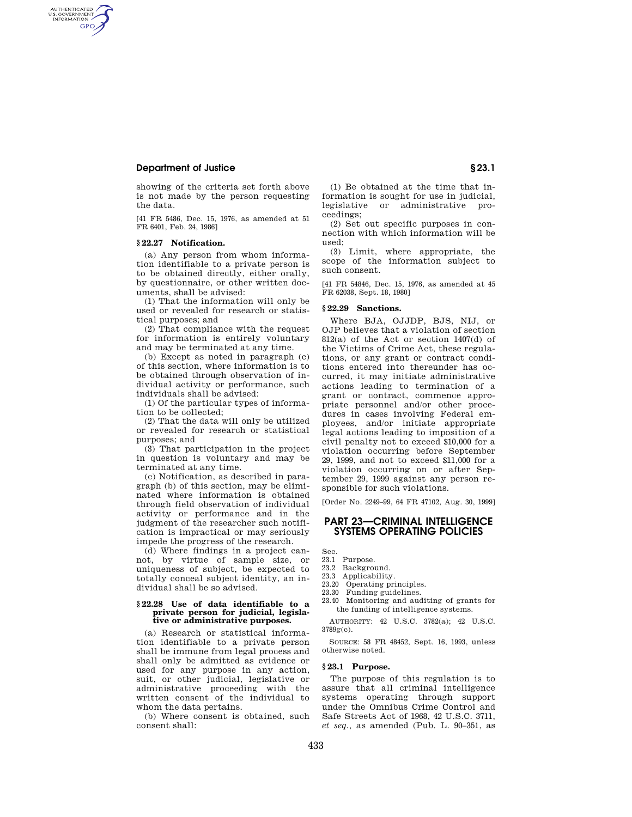## **Department of Justice § 23.1**

AUTHENTICATED<br>U.S. GOVERNMENT<br>INFORMATION **GPO** 

> showing of the criteria set forth above is not made by the person requesting the data.

> [41 FR 5486, Dec. 15, 1976, as amended at 51 FR 6401, Feb. 24, 1986]

### **§ 22.27 Notification.**

(a) Any person from whom information identifiable to a private person is to be obtained directly, either orally, by questionnaire, or other written documents, shall be advised:

(1) That the information will only be used or revealed for research or statistical purposes; and

(2) That compliance with the request for information is entirely voluntary and may be terminated at any time.

(b) Except as noted in paragraph (c) of this section, where information is to be obtained through observation of individual activity or performance, such individuals shall be advised:

(1) Of the particular types of information to be collected;

(2) That the data will only be utilized or revealed for research or statistical purposes; and

(3) That participation in the project in question is voluntary and may be terminated at any time.

(c) Notification, as described in paragraph (b) of this section, may be eliminated where information is obtained through field observation of individual activity or performance and in the judgment of the researcher such notification is impractical or may seriously impede the progress of the research.

(d) Where findings in a project cannot, by virtue of sample size, or uniqueness of subject, be expected to totally conceal subject identity, an individual shall be so advised.

#### **§ 22.28 Use of data identifiable to a private person for judicial, legislative or administrative purposes.**

(a) Research or statistical information identifiable to a private person shall be immune from legal process and shall only be admitted as evidence or used for any purpose in any action, suit, or other judicial, legislative or administrative proceeding with the written consent of the individual to whom the data pertains.

(b) Where consent is obtained, such consent shall:

(1) Be obtained at the time that information is sought for use in judicial, legislative or administrative proceedings;

(2) Set out specific purposes in connection with which information will be used;

(3) Limit, where appropriate, the scope of the information subject to such consent.

[41 FR 54846, Dec. 15, 1976, as amended at 45 FR 62038, Sept. 18, 1980]

#### **§ 22.29 Sanctions.**

Where BJA, OJJDP, BJS, NIJ, or OJP believes that a violation of section 812(a) of the Act or section 1407(d) of the Victims of Crime Act, these regulations, or any grant or contract conditions entered into thereunder has occurred, it may initiate administrative actions leading to termination of a grant or contract, commence appropriate personnel and/or other procedures in cases involving Federal employees, and/or initiate appropriate legal actions leading to imposition of a civil penalty not to exceed \$10,000 for a violation occurring before September 29, 1999, and not to exceed \$11,000 for a violation occurring on or after September 29, 1999 against any person responsible for such violations.

[Order No. 2249–99, 64 FR 47102, Aug. 30, 1999]

## **PART 23—CRIMINAL INTELLIGENCE SYSTEMS OPERATING POLICIES**

Sec.

- 23.1 Purpose. 23.2 Background.
- 23.3 Applicability.
- 23.20 Operating principles.
- 23.30 Funding guidelines.
- 23.40 Monitoring and auditing of grants for the funding of intelligence systems.

AUTHORITY: 42 U.S.C. 3782(a); 42 U.S.C. 3789g(c).

SOURCE: 58 FR 48452, Sept. 16, 1993, unless otherwise noted.

#### **§ 23.1 Purpose.**

The purpose of this regulation is to assure that all criminal intelligence systems operating through support under the Omnibus Crime Control and Safe Streets Act of 1968, 42 U.S.C. 3711, *et seq.,* as amended (Pub. L. 90–351, as